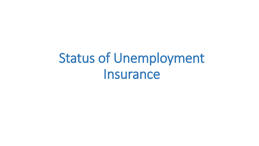# Status of Unemployment Insurance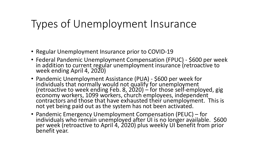## Types of Unemployment Insurance

- Regular Unemployment Insurance prior to COVID-19
- Federal Pandemic Unemployment Compensation (FPUC) \$600 per week in addition to current regular unemployment insurance (retroactive to week ending April 4, 2020)
- Pandemic Unemployment Assistance (PUA) \$600 per week for individuals that normally would not qualify for unemployment (retroactive to week ending Feb. 8, 2020) – for those self-employed, gig economy workers, 1099 workers, church employees, independent contractors and those that have exhausted their unemployment. This is not yet being paid out as the system has not been activated.
- Pandemic Emergency Unemployment Compensation (PEUC) for individuals who remain unemployed after UI is no longer available. \$600 per week (retroactive to April 4, 2020) plus weekly UI benefit from prior benefit year.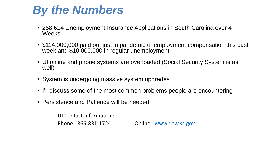## *By the Numbers*

- 268,614 Unemployment Insurance Applications in South Carolina over 4 Weeks
- \$114,000,000 paid out just in pandemic unemployment compensation this past week and \$10,000,000 in regular unemployment
- UI online and phone systems are overloaded (Social Security System is as well)
- System is undergoing massive system upgrades
- I'll discuss some of the most common problems people are encountering
- Persistence and Patience will be needed

UI Contact Information:

Phone: 866-831-1724 Online: [www.dew.sc.gov](http://www.dew.sc.gov/)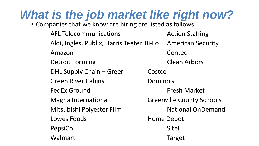# *What is the job market like right now?*

• Companies that we know are hiring are listed as follows:

AFL Telecommunications The Mexicon Staffing Aldi, Ingles, Publix, Harris Teeter, Bi-Lo American Security Amazon Contec Detroit Forming **Clean Arbors** DHL Supply Chain – Greer Costco Green River Cabins **Camman Common Common Common Common Common Common Common Common Common Common Common Common Common Common Common Common Common Common Common Common Common Common Common Common Common Common Common Common** FedEx Ground Fresh Market Magna International Greenville County Schools Mitsubishi Polyester Film National OnDemand Lowes Foods **Home Depot** PepsiCo Sitel Walmart Target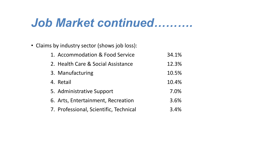## Job Market continued..........

• Claims by industry sector (shows job loss):

| 1. Accommodation & Food Service        | 34.1% |
|----------------------------------------|-------|
| 2. Health Care & Social Assistance     | 12.3% |
| 3. Manufacturing                       | 10.5% |
| 4. Retail                              | 10.4% |
| 5. Administrative Support              | 7.0%  |
| 6. Arts, Entertainment, Recreation     | 3.6%  |
| 7. Professional, Scientific, Technical | 3.4%  |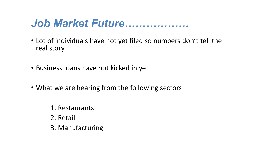### *Job Market Future………………*

- Lot of individuals have not yet filed so numbers don't tell the real story
- Business loans have not kicked in yet
- What we are hearing from the following sectors:
	- 1. Restaurants
	- 2. Retail
	- 3. Manufacturing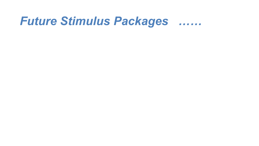## Future Stimulus Packages .......